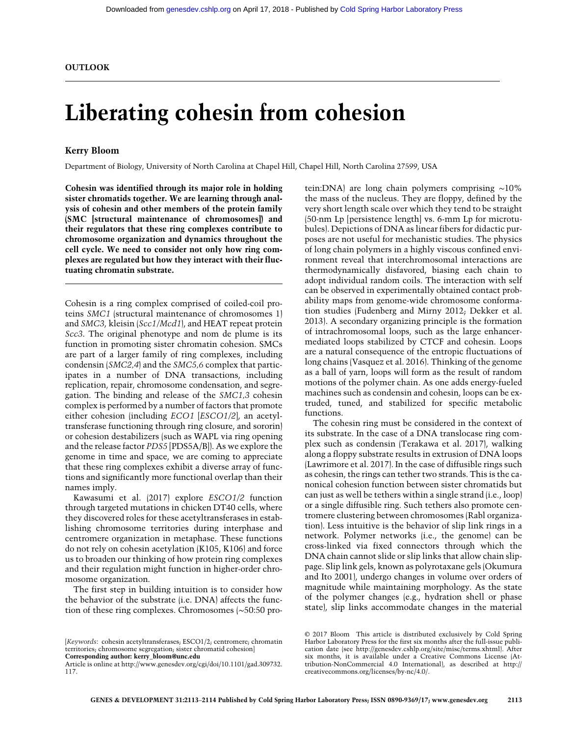# Liberating cohesin from cohesion

### Kerry Bloom

Department of Biology, University of North Carolina at Chapel Hill, Chapel Hill, North Carolina 27599, USA

Cohesin was identified through its major role in holding sister chromatids together. We are learning through analysis of cohesin and other members of the protein family (SMC [structural maintenance of chromosomes]) and their regulators that these ring complexes contribute to chromosome organization and dynamics throughout the cell cycle. We need to consider not only how ring complexes are regulated but how they interact with their fluctuating chromatin substrate.

Cohesin is a ring complex comprised of coiled-coil proteins SMC1 (structural maintenance of chromosomes 1) and SMC3, kleisin (Scc1/Mcd1), and HEAT repeat protein Scc3. The original phenotype and nom de plume is its function in promoting sister chromatin cohesion. SMCs are part of a larger family of ring complexes, including condensin (SMC2,4) and the SMC5,6 complex that participates in a number of DNA transactions, including replication, repair, chromosome condensation, and segregation. The binding and release of the SMC1,3 cohesin complex is performed by a number of factors that promote either cohesion (including ECO1 [ESCO1/2], an acetyltransferase functioning through ring closure, and sororin) or cohesion destabilizers (such as WAPL via ring opening and the release factor PDS5 [PDS5A/B]). As we explore the genome in time and space, we are coming to appreciate that these ring complexes exhibit a diverse array of functions and significantly more functional overlap than their names imply.

Kawasumi et al. (2017) explore ESCO1/2 function through targeted mutations in chicken DT40 cells, where they discovered roles for these acetyltransferases in establishing chromosome territories during interphase and centromere organization in metaphase. These functions do not rely on cohesin acetylation (K105, K106) and force us to broaden our thinking of how protein ring complexes and their regulation might function in higher-order chromosome organization.

The first step in building intuition is to consider how the behavior of the substrate (i.e. DNA) affects the function of these ring complexes. Chromosomes (∼50:50 pro-

[Keywords: cohesin acetyltransferases; ESCO1/2; centromere; chromatin territories; chromosome segregation; sister chromatid cohesion] Corresponding author: [kerry\\_bloom@unc.edu](mailto:kerry_bloom@unc.edu)

Article is online at [http://www.genesdev.org/cgi/doi/10.1101/gad.309732.](http://www.genesdev.org/cgi/doi/10.1101/gad.309732.117) [117.](http://www.genesdev.org/cgi/doi/10.1101/gad.309732.117)

tein:DNA) are long chain polymers comprising ∼10% the mass of the nucleus. They are floppy, defined by the very short length scale over which they tend to be straight (50-nm Lp [persistence length] vs. 6-mm Lp for microtubules). Depictions of DNA as linear fibers for didactic purposes are not useful for mechanistic studies. The physics of long chain polymers in a highly viscous confined environment reveal that interchromosomal interactions are thermodynamically disfavored, biasing each chain to adopt individual random coils. The interaction with self can be observed in experimentally obtained contact probability maps from genome-wide chromosome conformation studies (Fudenberg and Mirny 2012; Dekker et al. 2013). A secondary organizing principle is the formation of intrachromosomal loops, such as the large enhancermediated loops stabilized by CTCF and cohesin. Loops are a natural consequence of the entropic fluctuations of long chains (Vasquez et al. 2016). Thinking of the genome as a ball of yarn, loops will form as the result of random motions of the polymer chain. As one adds energy-fueled machines such as condensin and cohesin, loops can be extruded, tuned, and stabilized for specific metabolic functions.

The cohesin ring must be considered in the context of its substrate. In the case of a DNA translocase ring complex such as condensin (Terakawa et al. 2017), walking along a floppy substrate results in extrusion of DNA loops (Lawrimore et al. 2017). In the case of diffusible rings such as cohesin, the rings can tether two strands. This is the canonical cohesion function between sister chromatids but can just as well be tethers within a single strand (i.e., loop) or a single diffusible ring. Such tethers also promote centromere clustering between chromosomes (Rabl organization). Less intuitive is the behavior of slip link rings in a network. Polymer networks (i.e., the genome) can be cross-linked via fixed connectors through which the DNA chain cannot slide or slip links that allow chain slippage. Slip link gels, known as polyrotaxane gels (Okumura and Ito 2001), undergo changes in volume over orders of magnitude while maintaining morphology. As the state of the polymer changes (e.g., hydration shell or phase state), slip links accommodate changes in the material

[<sup>© 2017</sup> Bloom](http://genesdev.cshlp.org/site/misc/terms.xhtml) This article is distributed exclusively by Cold Spring Harbor Laboratory Press for the first six months after the full-issue publication date (see<http://genesdev.cshlp.org/site/misc/terms.xhtml>). After six months, it is available under a Creative Commons License (Attribution-NonCommercial 4.0 International), as described at [http://](http://creativecommons.org/licenses/by-nc/4.0/) [creativecommons.org/licenses/by-nc/4.0/.](http://creativecommons.org/licenses/by-nc/4.0/)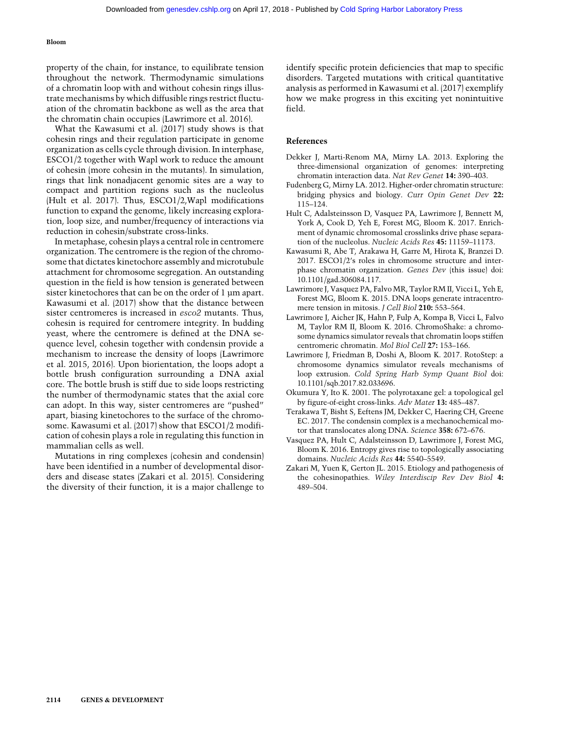#### Bloom

property of the chain, for instance, to equilibrate tension throughout the network. Thermodynamic simulations of a chromatin loop with and without cohesin rings illustrate mechanisms by which diffusible rings restrict fluctuation of the chromatin backbone as well as the area that the chromatin chain occupies (Lawrimore et al. 2016).

What the Kawasumi et al. (2017) study shows is that cohesin rings and their regulation participate in genome organization as cells cycle through division. In interphase, ESCO1/2 together with Wapl work to reduce the amount of cohesin (more cohesin in the mutants). In simulation, rings that link nonadjacent genomic sites are a way to compact and partition regions such as the nucleolus (Hult et al. 2017). Thus, ESCO1/2,Wapl modifications function to expand the genome, likely increasing exploration, loop size, and number/frequency of interactions via reduction in cohesin/substrate cross-links.

In metaphase, cohesin plays a central role in centromere organization. The centromere is the region of the chromosome that dictates kinetochore assembly and microtubule attachment for chromosome segregation. An outstanding question in the field is how tension is generated between sister kinetochores that can be on the order of 1 µm apart. Kawasumi et al. (2017) show that the distance between sister centromeres is increased in esco2 mutants. Thus, cohesin is required for centromere integrity. In budding yeast, where the centromere is defined at the DNA sequence level, cohesin together with condensin provide a mechanism to increase the density of loops (Lawrimore et al. 2015, 2016). Upon biorientation, the loops adopt a bottle brush configuration surrounding a DNA axial core. The bottle brush is stiff due to side loops restricting the number of thermodynamic states that the axial core can adopt. In this way, sister centromeres are "pushed" apart, biasing kinetochores to the surface of the chromosome. Kawasumi et al. (2017) show that ESCO1/2 modification of cohesin plays a role in regulating this function in mammalian cells as well.

Mutations in ring complexes (cohesin and condensin) have been identified in a number of developmental disorders and disease states (Zakari et al. 2015). Considering the diversity of their function, it is a major challenge to identify specific protein deficiencies that map to specific disorders. Targeted mutations with critical quantitative analysis as performed in Kawasumi et al. (2017) exemplify how we make progress in this exciting yet nonintuitive field.

#### References

- Dekker J, Marti-Renom MA, Mirny LA. 2013. Exploring the three-dimensional organization of genomes: interpreting chromatin interaction data. Nat Rev Genet 14: 390–403.
- Fudenberg G, Mirny LA. 2012. Higher-order chromatin structure: bridging physics and biology. Curr Opin Genet Dev 22: 115–124.
- Hult C, Adalsteinsson D, Vasquez PA, Lawrimore J, Bennett M, York A, Cook D, Yeh E, Forest MG, Bloom K. 2017. Enrichment of dynamic chromosomal crosslinks drive phase separation of the nucleolus. Nucleic Acids Res 45: 11159–11173.
- Kawasumi R, Abe T, Arakawa H, Garre M, Hirota K, Branzei D. 2017. ESCO1/2's roles in chromosome structure and interphase chromatin organization. Genes Dev (this issue) doi: 10.1101/gad.306084.117.
- Lawrimore J, Vasquez PA, Falvo MR, Taylor RM II, Vicci L, Yeh E, Forest MG, Bloom K. 2015. DNA loops generate intracentromere tension in mitosis. *J Cell Biol* 210: 553–564.
- Lawrimore J, Aicher JK, Hahn P, Fulp A, Kompa B, Vicci L, Falvo M, Taylor RM II, Bloom K. 2016. ChromoShake: a chromosome dynamics simulator reveals that chromatin loops stiffen centromeric chromatin. Mol Biol Cell 27: 153–166.
- Lawrimore J, Friedman B, Doshi A, Bloom K. 2017. RotoStep: a chromosome dynamics simulator reveals mechanisms of loop extrusion. Cold Spring Harb Symp Quant Biol doi: 10.1101/sqb.2017.82.033696.
- Okumura Y, Ito K. 2001. The polyrotaxane gel: a topological gel by figure-of-eight cross-links. Adv Mater 13: 485–487.
- Terakawa T, Bisht S, Eeftens JM, Dekker C, Haering CH, Greene EC. 2017. The condensin complex is a mechanochemical motor that translocates along DNA. Science 358: 672–676.
- Vasquez PA, Hult C, Adalsteinsson D, Lawrimore J, Forest MG, Bloom K. 2016. Entropy gives rise to topologically associating domains. Nucleic Acids Res 44: 5540–5549.
- Zakari M, Yuen K, Gerton JL. 2015. Etiology and pathogenesis of the cohesinopathies. Wiley Interdiscip Rev Dev Biol 4: 489–504.